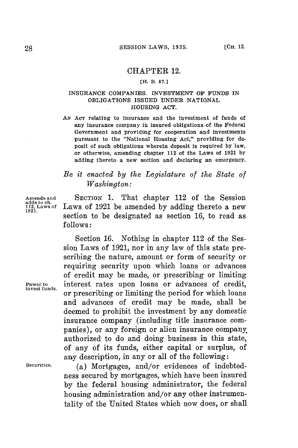## CHAPTER 12.

## **[H. B. 87.]**

## **INSURANCE** COMPANIES. **INVESTMENT OF** *FUNDS IN* **OBLIGATIONS ISSUED UNDER NATIONAL HOUSING ACT.**

**AN** AcT relating to insurance and the investment of funds of any insurance company in insured obligations of the Federal Government and providing for cooperation and investments pursuant to the "National Housing Act," providing for deposit of such obligations wherein deposit is required **by** law, or otherwise, amending chapter 112 of the Laws of **1921 by** adding thereto a new section and declaring an emergency.

## *Be it enacted by the Legislature of the State of Washington:*

**Amends and SECTION 1.** That chapter 112 of the Session 1.Laws **of** Laws of **1921** be amended **by** adding thereto a new section to be designated as section **16,** to read as **follows:**

Section **16.** Nothing in chapter 112 of the Session Laws of **1921,** nor in any law of this state prescribing the nature, amount or form of security or requiring security upon which loans or advances of credit may be made, or prescribing or limiting **Power to** interest rates upon loans or advances of credit, **invest funds.** or prescribing or limiting the period for which loans and advances of credit may be made, shall be deemed to prohibit the investment **by** any domestic insurance company (including title insurance companies), or any foreign or alien insurance company authorized to do and doing business in this state, of any of its funds, either capital or surplus, of any description, in any or all of the following:

**Securities.** (a) Mortgages, and/or evidences of indebtedness secured **by** mortgages, which have been insured **by** the federal housing administrator, the federal housing administration and/or any other instrumentality of the United States which now does, or shall

adds to ch.<br>112, Laws of<br>1921.